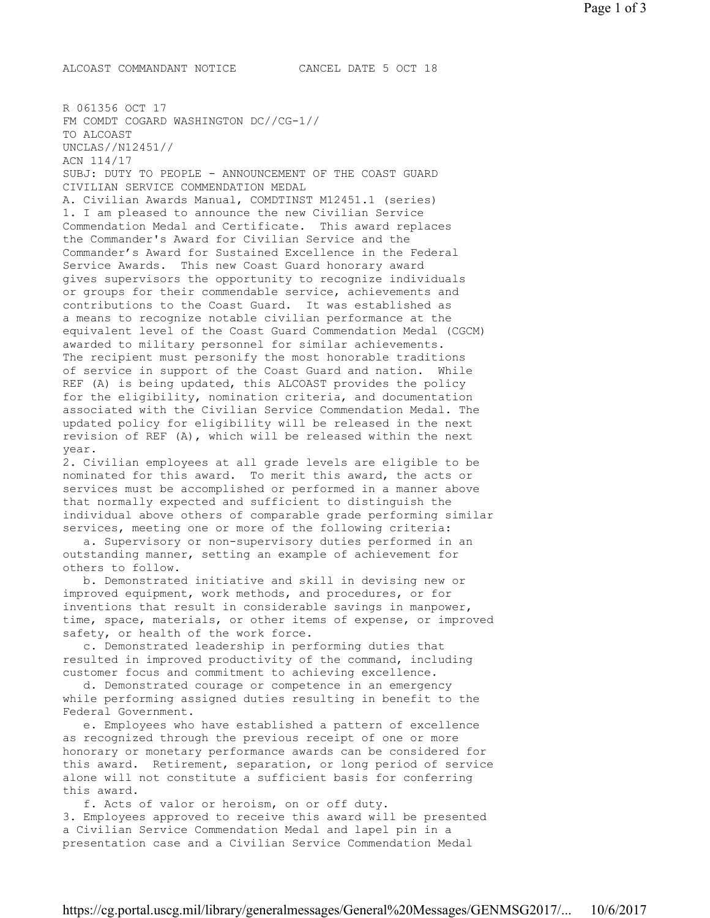ALCOAST COMMANDANT NOTICE CANCEL DATE 5 OCT 18

R 061356 OCT 17 FM COMDT COGARD WASHINGTON DC//CG-1// TO ALCOAST UNCLAS//N12451// ACN 114/17 SUBJ: DUTY TO PEOPLE - ANNOUNCEMENT OF THE COAST GUARD CIVILIAN SERVICE COMMENDATION MEDAL A. Civilian Awards Manual, COMDTINST M12451.1 (series) 1. I am pleased to announce the new Civilian Service Commendation Medal and Certificate. This award replaces the Commander's Award for Civilian Service and the Commander's Award for Sustained Excellence in the Federal Service Awards. This new Coast Guard honorary award gives supervisors the opportunity to recognize individuals or groups for their commendable service, achievements and contributions to the Coast Guard. It was established as a means to recognize notable civilian performance at the equivalent level of the Coast Guard Commendation Medal (CGCM) awarded to military personnel for similar achievements. The recipient must personify the most honorable traditions of service in support of the Coast Guard and nation. While REF (A) is being updated, this ALCOAST provides the policy for the eligibility, nomination criteria, and documentation associated with the Civilian Service Commendation Medal. The updated policy for eligibility will be released in the next revision of REF (A), which will be released within the next year. 2. Civilian employees at all grade levels are eligible to be nominated for this award. To merit this award, the acts or services must be accomplished or performed in a manner above that normally expected and sufficient to distinguish the individual above others of comparable grade performing similar services, meeting one or more of the following criteria: a. Supervisory or non-supervisory duties performed in an outstanding manner, setting an example of achievement for others to follow. b. Demonstrated initiative and skill in devising new or improved equipment, work methods, and procedures, or for inventions that result in considerable savings in manpower, time, space, materials, or other items of expense, or improved safety, or health of the work force. c. Demonstrated leadership in performing duties that resulted in improved productivity of the command, including customer focus and commitment to achieving excellence. d. Demonstrated courage or competence in an emergency while performing assigned duties resulting in benefit to the Federal Government. e. Employees who have established a pattern of excellence as recognized through the previous receipt of one or more honorary or monetary performance awards can be considered for this award. Retirement, separation, or long period of service alone will not constitute a sufficient basis for conferring this award. f. Acts of valor or heroism, on or off duty. 3. Employees approved to receive this award will be presented a Civilian Service Commendation Medal and lapel pin in a presentation case and a Civilian Service Commendation Medal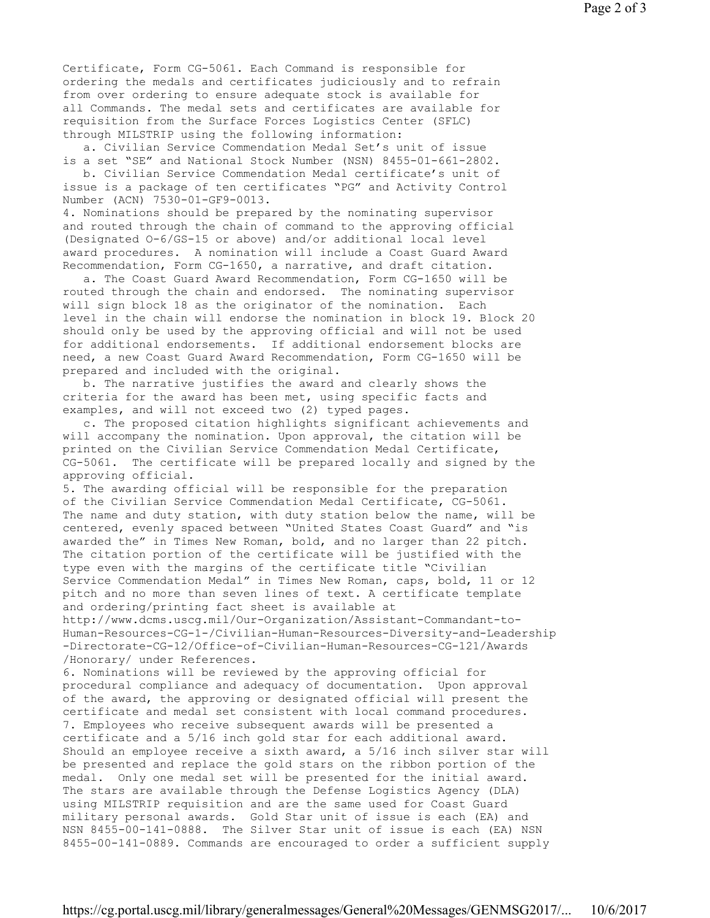Certificate, Form CG-5061. Each Command is responsible for ordering the medals and certificates judiciously and to refrain from over ordering to ensure adequate stock is available for all Commands. The medal sets and certificates are available for requisition from the Surface Forces Logistics Center (SFLC) through MILSTRIP using the following information:

 a. Civilian Service Commendation Medal Set's unit of issue is a set "SE" and National Stock Number (NSN) 8455-01-661-2802.

 b. Civilian Service Commendation Medal certificate's unit of issue is a package of ten certificates "PG" and Activity Control Number (ACN) 7530-01-GF9-0013.

4. Nominations should be prepared by the nominating supervisor and routed through the chain of command to the approving official (Designated O-6/GS-15 or above) and/or additional local level award procedures. A nomination will include a Coast Guard Award Recommendation, Form CG-1650, a narrative, and draft citation.

 a. The Coast Guard Award Recommendation, Form CG-1650 will be routed through the chain and endorsed. The nominating supervisor will sign block 18 as the originator of the nomination. Each level in the chain will endorse the nomination in block 19. Block 20 should only be used by the approving official and will not be used for additional endorsements. If additional endorsement blocks are need, a new Coast Guard Award Recommendation, Form CG-1650 will be prepared and included with the original.

 b. The narrative justifies the award and clearly shows the criteria for the award has been met, using specific facts and examples, and will not exceed two (2) typed pages.

 c. The proposed citation highlights significant achievements and will accompany the nomination. Upon approval, the citation will be printed on the Civilian Service Commendation Medal Certificate, CG-5061. The certificate will be prepared locally and signed by the approving official.

5. The awarding official will be responsible for the preparation of the Civilian Service Commendation Medal Certificate, CG-5061. The name and duty station, with duty station below the name, will be centered, evenly spaced between "United States Coast Guard" and "is awarded the" in Times New Roman, bold, and no larger than 22 pitch. The citation portion of the certificate will be justified with the type even with the margins of the certificate title "Civilian Service Commendation Medal" in Times New Roman, caps, bold, 11 or 12 pitch and no more than seven lines of text. A certificate template and ordering/printing fact sheet is available at http://www.dcms.uscg.mil/Our-Organization/Assistant-Commandant-to-Human-Resources-CG-1-/Civilian-Human-Resources-Diversity-and-Leadership -Directorate-CG-12/Office-of-Civilian-Human-Resources-CG-121/Awards

/Honorary/ under References.

6. Nominations will be reviewed by the approving official for procedural compliance and adequacy of documentation. Upon approval of the award, the approving or designated official will present the certificate and medal set consistent with local command procedures. 7. Employees who receive subsequent awards will be presented a certificate and a 5/16 inch gold star for each additional award. Should an employee receive a sixth award, a 5/16 inch silver star will be presented and replace the gold stars on the ribbon portion of the medal. Only one medal set will be presented for the initial award. The stars are available through the Defense Logistics Agency (DLA) using MILSTRIP requisition and are the same used for Coast Guard military personal awards. Gold Star unit of issue is each (EA) and NSN 8455-00-141-0888. The Silver Star unit of issue is each (EA) NSN 8455-00-141-0889. Commands are encouraged to order a sufficient supply